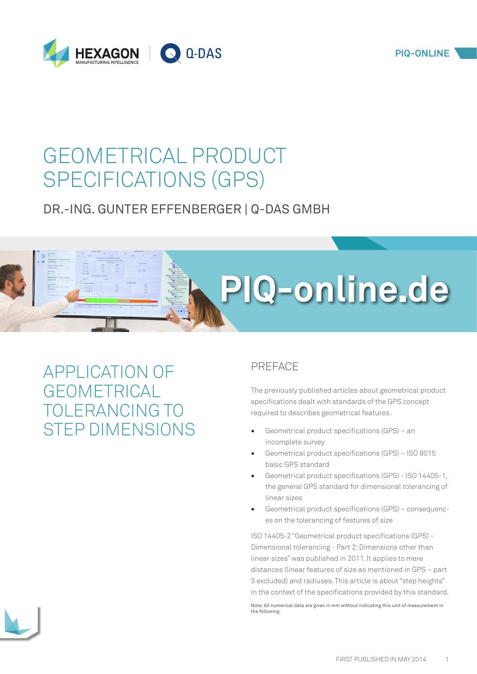

# GEOMETRICAL PRODUCT SPECIFICATIONS (GPS)

# DR.-ING. GUNTER EFFENBERGER | Q-DAS GMBH



# APPLICATION OF GEOMETRICAL TOLERANCING TO STEP DIMENSIONS

# PREFACE

The previously published articles about geometrical product specifications dealt with standards of the GPS concept required to describes geometrical features.

- [Geometrical product specifications \(GPS\) an](http://www.piq-online.de/en/articlepage/piq-entry/89-geometrische-produktspezifikation-gps-eine-unvolls/piq-category/3-werkzeuge-und-methoden/?tx_vierwdqdaspiq_piqentry%5baction%5d=show&cHash=aeb5224e7c1911e28d76774606329bc6)  [incomplete survey](http://www.piq-online.de/en/articlepage/piq-entry/89-geometrische-produktspezifikation-gps-eine-unvolls/piq-category/3-werkzeuge-und-methoden/?tx_vierwdqdaspiq_piqentry%5baction%5d=show&cHash=aeb5224e7c1911e28d76774606329bc6)
- [Geometrical product specifications \(GPS\) ISO 8015](http://www.piq-online.de/en/articlepage/piq-entry/192-geometrical-product-specifications-gps-iso-8015-ba/?tx_vierwdqdaspiq_piqentry%5baction%5d=show&cHash=06a1efdd274aebdee69ca8d4acc6d635)  [basic GPS standard](http://www.piq-online.de/en/articlepage/piq-entry/192-geometrical-product-specifications-gps-iso-8015-ba/?tx_vierwdqdaspiq_piqentry%5baction%5d=show&cHash=06a1efdd274aebdee69ca8d4acc6d635)
- [Geometrical product specifications \(GPS\) ISO 14405-1,](http://www.piq-online.de/en/articlepage/piq-entry/53-geometrische-produktspezifikation-gps-teil-3/?tx_vierwdqdaspiq_piqentry%5baction%5d=show&cHash=5fbfa7844d54bf1e6a53d393c63a1652)  [the general GPS standard for dimensional tolerancing of](http://www.piq-online.de/en/articlepage/piq-entry/53-geometrische-produktspezifikation-gps-teil-3/?tx_vierwdqdaspiq_piqentry%5baction%5d=show&cHash=5fbfa7844d54bf1e6a53d393c63a1652)  [linear sizes](http://www.piq-online.de/en/articlepage/piq-entry/53-geometrische-produktspezifikation-gps-teil-3/?tx_vierwdqdaspiq_piqentry%5baction%5d=show&cHash=5fbfa7844d54bf1e6a53d393c63a1652)
- [Geometrical product specifications \(GPS\) consequenc](http://www.piq-online.de/en/articlepage/piq-entry/39-geometrische-produktspezifikation-gps-teil-4/?tx_vierwdqdaspiq_piqentry%5baction%5d=show&cHash=9c6a2499caf7cc5ab0158b673657fb09)[es on the tolerancing of features of size](http://www.piq-online.de/en/articlepage/piq-entry/39-geometrische-produktspezifikation-gps-teil-4/?tx_vierwdqdaspiq_piqentry%5baction%5d=show&cHash=9c6a2499caf7cc5ab0158b673657fb09)

ISO 14405-2 "Geometrical product specifications (GPS) - Dimensional tolerancing - Part 2: Dimensions other than linear sizes" was published in 2011. It applies to mere distances (linear features of size as mentioned in [GPS – part](http://www.piq-online.de/en/articlepage/piq-entry/225-geometrical-product-specifications-part-3/?tx_vierwdqdaspiq_piqentry%5baction%5d=show&cHash=14f338d9d24ee158ed7605b18660411a)  [3](http://www.piq-online.de/en/articlepage/piq-entry/225-geometrical-product-specifications-part-3/?tx_vierwdqdaspiq_piqentry%5baction%5d=show&cHash=14f338d9d24ee158ed7605b18660411a) excluded) and radiuses. This article is about "step heights" in the context of the specifications provided by this standard.

Note: All numerical data are given in mm without indicating this unit of measurement in the following.

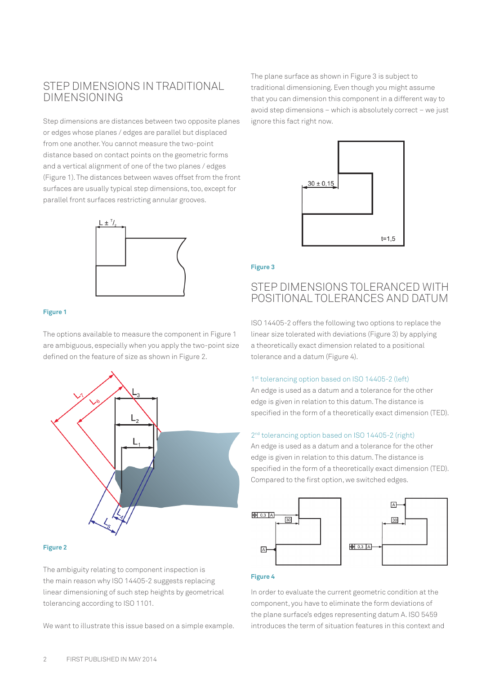# STEP DIMENSIONS IN TRADITIONAL DIMENSIONING

Step dimensions are distances between two opposite planes or edges whose planes / edges are parallel but displaced from one another. You cannot measure the two-point distance based on contact points on the geometric forms and a vertical alignment of one of the two planes / edges (Figure 1). The distances between waves offset from the front surfaces are usually typical step dimensions, too, except for parallel front surfaces restricting annular grooves.



#### **Figure 1**

The options available to measure the component in Figure 1 are ambiguous, especially when you apply the two-point size defined on the feature of size as shown in Figure 2.



#### **Figure 2**

The ambiguity relating to component inspection is the main reason why ISO 14405-2 suggests replacing linear dimensioning of such step heights by geometrical tolerancing according to ISO 1101.

We want to illustrate this issue based on a simple example.

The plane surface as shown in Figure 3 is subject to traditional dimensioning. Even though you might assume that you can dimension this component in a different way to avoid step dimensions – which is absolutely correct – we just ignore this fact right now.



#### **Figure 3**

# STEP DIMENSIONS TOLERANCED WITH POSITIONAL TOLERANCES AND DATUM

ISO 14405-2 offers the following two options to replace the linear size tolerated with deviations (Figure 3) by applying a theoretically exact dimension related to a positional tolerance and a datum (Figure 4).

#### 1<sup>st</sup> tolerancing option based on ISO 14405-2 (left)

An edge is used as a datum and a tolerance for the other edge is given in relation to this datum. The distance is specified in the form of a theoretically exact dimension (TED).

#### 2<sup>nd</sup> tolerancing option based on ISO 14405-2 (right)

An edge is used as a datum and a tolerance for the other edge is given in relation to this datum. The distance is specified in the form of a theoretically exact dimension (TED). Compared to the first option, we switched edges.



#### **Figure 4**

In order to evaluate the current geometric condition at the component, you have to eliminate the form deviations of the plane surface's edges representing datum A. ISO 5459 introduces the term of situation features in this context and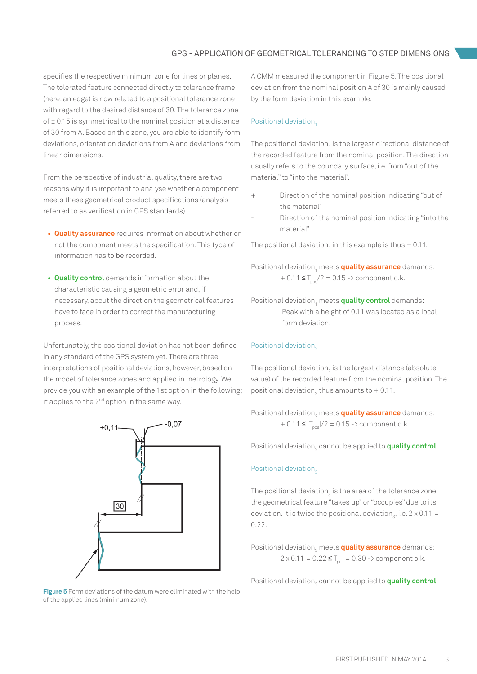specifies the respective minimum zone for lines or planes. The tolerated feature connected directly to tolerance frame (here: an edge) is now related to a positional tolerance zone with regard to the desired distance of 30. The tolerance zone of ± 0.15 is symmetrical to the nominal position at a distance of 30 from A. Based on this zone, you are able to identify form deviations, orientation deviations from A and deviations from linear dimensions.

From the perspective of industrial quality, there are two reasons why it is important to analyse whether a component meets these geometrical product specifications (analysis referred to as verification in GPS standards).

- **• Quality assurance** requires information about whether or not the component meets the specification. This type of information has to be recorded.
- **• Quality control** demands information about the characteristic causing a geometric error and, if necessary, about the direction the geometrical features have to face in order to correct the manufacturing process.

Unfortunately, the positional deviation has not been defined in any standard of the GPS system yet. There are three interpretations of positional deviations, however, based on the model of tolerance zones and applied in metrology. We provide you with an example of the 1st option in the following; it applies to the  $2^{nd}$  option in the same way.



**Figure 5** Form deviations of the datum were eliminated with the help of the applied lines (minimum zone).

A CMM measured the component in Figure 5. The positional deviation from the nominal position A of 30 is mainly caused by the form deviation in this example.

### Positional deviation.

The positional deviation<sub>1</sub> is the largest directional distance of the recorded feature from the nominal position. The direction usually refers to the boundary surface, i.e. from "out of the material" to "into the material".

- Direction of the nominal position indicating "out of the material"
- Direction of the nominal position indicating "into the material"

The positional deviation $_1$  in this example is thus + 0.11.

Positional deviation1 meets **quality assurance** demands:  $+ 0.11 \leq T_{\text{pos}}/2 = 0.15 \rightarrow$  component o.k.

Positional deviation<sub>1</sub> meets **quality control** demands: Peak with a height of 0.11 was located as a local form deviation.

### Positional deviation,

The positional deviation $_{_2}$  is the largest distance (absolute value) of the recorded feature from the nominal position. The positional deviation<sub>2</sub> thus amounts to + 0.11.

Positional deviation<sub>2</sub> meets **quality assurance** demands:  $+ 0.11 \leq |T_{\text{pos}}|/2 = 0.15$  -> component o.k.

Positional deviation<sub>2</sub> cannot be applied to **quality control**.

#### Positional deviation<sub>3</sub>

The positional deviation $_3$  is the area of the tolerance zone the geometrical feature "takes up" or "occupies" due to its deviation. It is twice the positional deviation<sub>3</sub>, i.e.  $2 \times 0.11 =$ 0.22.

Positional deviation<sub>3</sub> meets **quality assurance** demands:  $2 \times 0.11 = 0.22 \leq T_{\text{pos}} = 0.30 \Rightarrow$  component o.k.

Positional deviation<sub>3</sub> cannot be applied to **quality control**.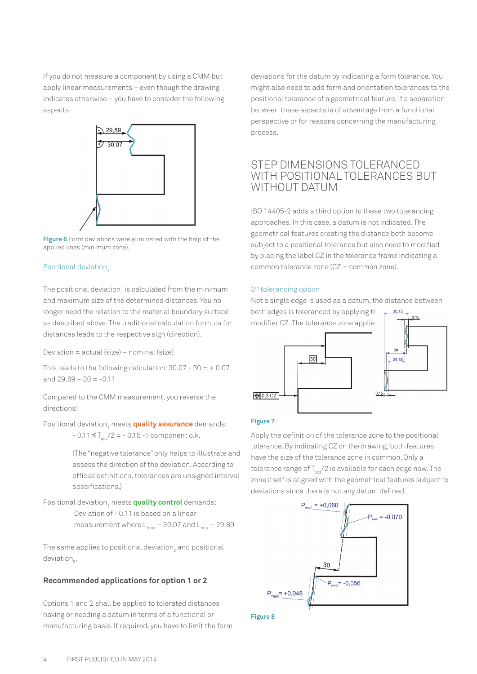If you do not measure a component by using a CMM but apply linear measurements – even though the drawing indicates otherwise – you have to consider the following aspects.



**Figure 6** Form deviations were eliminated with the help of the applied lines (minimum zone).

#### Positional deviation,

The positional deviation $\rm _{1}$  is calculated from the minimum and maximum size of the determined distances. You no longer need the relation to the material boundary surface as described above. The traditional calculation formula for distances leads to the respective sign (direction).

Deviation = actual (size) – nominal (size)

This leads to the following calculation:  $30.07 - 30 = +0.07$ and  $29.89 - 30 = -0.11$ 

Compared to the CMM measurement, you reverse the directions!

Positional deviation1 meets **quality assurance** demands:  $-0.11 \leq T_{\text{max}}/2 = -0.15 -\frac{1}{2}$  component o.k.

> (The "negative tolerance" only helps to illustrate and assess the direction of the deviation. According to official definitions, tolerances are unsigned interval specifications.)

Positional deviation<sub>1</sub> meets **quality control** demands: Deviation of - 0.11 is based on a linear measurement where  $L_{max} = 30.07$  and  $L_{min} = 29.89$ 

The same applies to positional deviation $_2$  and positional deviation<sub>3</sub>.

#### **Recommended applications for option 1 or 2**

Options 1 and 2 shall be applied to tolerated distances having or needing a datum in terms of a functional or manufacturing basis. If required, you have to limit the form deviations for the datum by indicating a form tolerance. You might also need to add form and orientation tolerances to the positional tolerance of a geometrical feature, if a separation between these aspects is of advantage from a functional perspective or for reasons concerning the manufacturing process.

## STEP DIMENSIONS TOLERANCED WITH POSITIONAL TOLERANCES BUT WITHOUT DATUM

ISO 14405-2 adds a third option to these two tolerancing approaches. In this case, a datum is not indicated. The geometrical features creating the distance both become subject to a positional tolerance but also need to modified by placing the label CZ in the tolerance frame indicating a common tolerance zone (CZ = common zone).

#### 3<sup>rd</sup> tolerancing option

Not a single edge is used as a datum, the distance between

both edges is toleranced by applying the  $\frac{30,15}{10,15}$ modifier CZ. The tolerance zone applie



#### **Figure 7**

Apply the definition of the tolerance zone to the positional tolerance. By indicating CZ on the drawing, both features have the size of the tolerance zone in common. Only a tolerance range of  $T_{n/2}$  is available for each edge now. The zone itself is aligned with the geometrical features subject to deviations since there is not any datum defined.



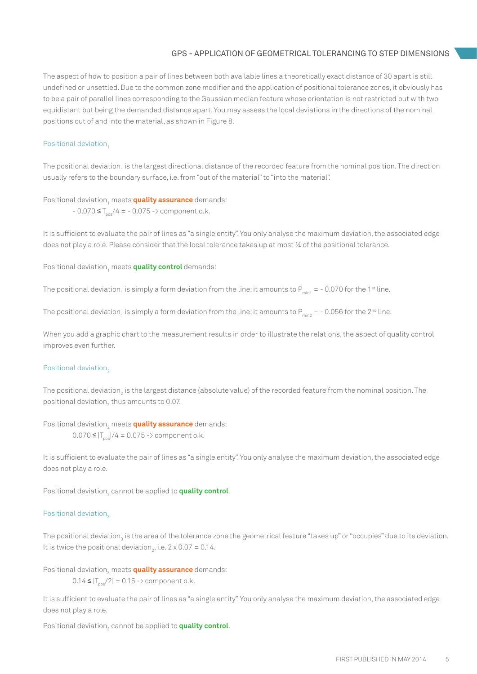### GPS - APPLICATION OF GEOMETRICAL TOLERANCING TO STEP DIMENSIONS

The aspect of how to position a pair of lines between both available lines a theoretically exact distance of 30 apart is still undefined or unsettled. Due to the common zone modifier and the application of positional tolerance zones, it obviously has to be a pair of parallel lines corresponding to the Gaussian median feature whose orientation is not restricted but with two equidistant but being the demanded distance apart. You may assess the local deviations in the directions of the nominal positions out of and into the material, as shown in Figure 8.

#### Positional deviation,

The positional deviation<sub>1</sub> is the largest directional distance of the recorded feature from the nominal position. The direction usually refers to the boundary surface, i.e. from "out of the material" to "into the material".

## Positional deviation1 meets **quality assurance** demands:

 $-0.070 \leq T_{\text{pos}}/4 = -0.075 \leq \text{component}$ o.k.

It is sufficient to evaluate the pair of lines as "a single entity". You only analyse the maximum deviation, the associated edge does not play a role. Please consider that the local tolerance takes up at most ¼ of the positional tolerance.

Positional deviation<sub>1</sub> meets **quality control** demands:

The positional deviation<sub>1</sub> is simply a form deviation from the line; it amounts to P<sub>min1</sub> = - 0.070 for the 1st line.

The positional deviation<sub>1</sub> is simply a form deviation from the line; it amounts to P<sub>min2</sub> = - 0.056 for the 2<sup>nd</sup> line.

When you add a graphic chart to the measurement results in order to illustrate the relations, the aspect of quality control improves even further.

#### Positional deviation,

The positional deviation<sub>2</sub> is the largest distance (absolute value) of the recorded feature from the nominal position. The positional deviation $_2$  thus amounts to 0.07.

### Positional deviation<sub>2</sub> meets **quality assurance** demands:

 $0.070 \leq |T_{\text{max}}|/4 = 0.075$  -> component o.k.

It is sufficient to evaluate the pair of lines as "a single entity". You only analyse the maximum deviation, the associated edge does not play a role.

Positional deviation<sub>2</sub> cannot be applied to **quality control**.

### Positional deviation,

The positional deviation<sub>3</sub> is the area of the tolerance zone the geometrical feature "takes up" or "occupies" due to its deviation. It is twice the positional deviation<sub>2</sub>, i.e.  $2 \times 0.07 = 0.14$ .

Positional deviation<sub>3</sub> meets **quality assurance** demands:

 $0.14 \leq |T_{\text{pos}}/2| = 0.15 \Rightarrow$  component o.k.

It is sufficient to evaluate the pair of lines as "a single entity". You only analyse the maximum deviation, the associated edge does not play a role.

Positional deviation<sub>3</sub> cannot be applied to **quality control**.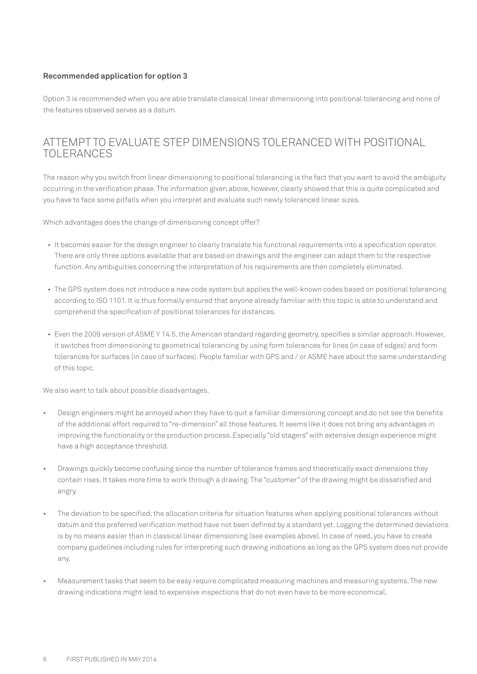### **Recommended application for option 3**

Option 3 is recommended when you are able translate classical linear dimensioning into positional tolerancing and none of the features observed serves as a datum.

# ATTEMPT TO EVALUATE STEP DIMENSIONS TOLERANCED WITH POSITIONAL TOLERANCES

The reason why you switch from linear dimensioning to positional tolerancing is the fact that you want to avoid the ambiguity occurring in the verification phase. The information given above, however, clearly showed that this is quite complicated and you have to face some pitfalls when you interpret and evaluate such newly toleranced linear sizes.

Which advantages does the change of dimensioning concept offer?

- It becomes easier for the design engineer to clearly translate his functional requirements into a specification operator. There are only three options available that are based on drawings and the engineer can adapt them to the respective function. Any ambiguities concerning the interpretation of his requirements are then completely eliminated.
- The GPS system does not introduce a new code system but applies the well-known codes based on positional tolerancing according to ISO 1101. It is thus formally ensured that anyone already familiar with this topic is able to understand and comprehend the specification of positional tolerances for distances.
- Even the 2009 version of ASME Y 14.5, the American standard regarding geometry, specifies a similar approach. However, it switches from dimensioning to geometrical tolerancing by using form tolerances for lines (in case of edges) and form tolerances for surfaces (in case of surfaces). People familiar with GPS and / or ASME have about the same understanding of this topic.

We also want to talk about possible disadvantages.

- Design engineers might be annoyed when they have to quit a familiar dimensioning concept and do not see the benefits of the additional effort required to "re-dimension" all those features. It seems like it does not bring any advantages in improving the functionality or the production process. Especially "old stagers" with extensive design experience might have a high acceptance threshold.
- Drawings quickly become confusing since the number of tolerance frames and theoretically exact dimensions they contain rises. It takes more time to work through a drawing. The "customer" of the drawing might be dissatisfied and angry.
- The deviation to be specified, the allocation criteria for situation features when applying positional tolerances without datum and the preferred verification method have not been defined by a standard yet. Logging the determined deviations is by no means easier than in classical linear dimensioning (see examples above). In case of need, you have to create company guidelines including rules for interpreting such drawing indications as long as the GPS system does not provide any.
- Measurement tasks that seem to be easy require complicated measuring machines and measuring systems. The new drawing indications might lead to expensive inspections that do not even have to be more economical.